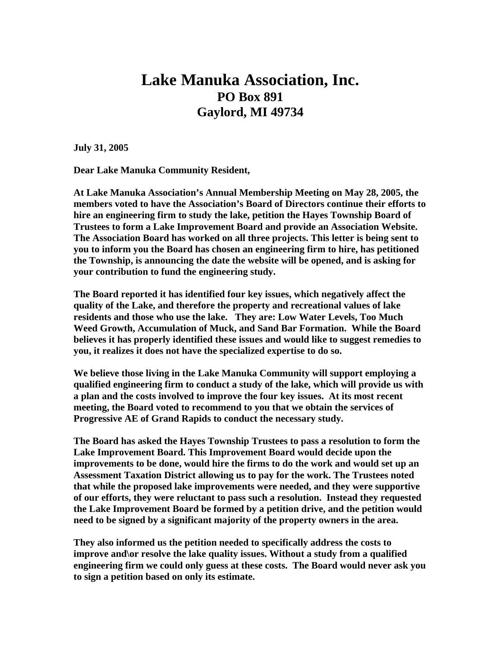## **Lake Manuka Association, Inc. PO Box 891 Gaylord, MI 49734**

**July 31, 2005** 

**Dear Lake Manuka Community Resident,** 

**At Lake Manuka Association's Annual Membership Meeting on May 28, 2005, the members voted to have the Association's Board of Directors continue their efforts to hire an engineering firm to study the lake, petition the Hayes Township Board of Trustees to form a Lake Improvement Board and provide an Association Website. The Association Board has worked on all three projects. This letter is being sent to you to inform you the Board has chosen an engineering firm to hire, has petitioned the Township, is announcing the date the website will be opened, and is asking for your contribution to fund the engineering study.** 

**The Board reported it has identified four key issues, which negatively affect the quality of the Lake, and therefore the property and recreational values of lake residents and those who use the lake. They are: Low Water Levels, Too Much Weed Growth, Accumulation of Muck, and Sand Bar Formation. While the Board believes it has properly identified these issues and would like to suggest remedies to you, it realizes it does not have the specialized expertise to do so.** 

**We believe those living in the Lake Manuka Community will support employing a qualified engineering firm to conduct a study of the lake, which will provide us with a plan and the costs involved to improve the four key issues. At its most recent meeting, the Board voted to recommend to you that we obtain the services of Progressive AE of Grand Rapids to conduct the necessary study.** 

**The Board has asked the Hayes Township Trustees to pass a resolution to form the Lake Improvement Board. This Improvement Board would decide upon the improvements to be done, would hire the firms to do the work and would set up an Assessment Taxation District allowing us to pay for the work. The Trustees noted that while the proposed lake improvements were needed, and they were supportive of our efforts, they were reluctant to pass such a resolution. Instead they requested the Lake Improvement Board be formed by a petition drive, and the petition would need to be signed by a significant majority of the property owners in the area.** 

**They also informed us the petition needed to specifically address the costs to improve and\or resolve the lake quality issues. Without a study from a qualified engineering firm we could only guess at these costs. The Board would never ask you to sign a petition based on only its estimate.**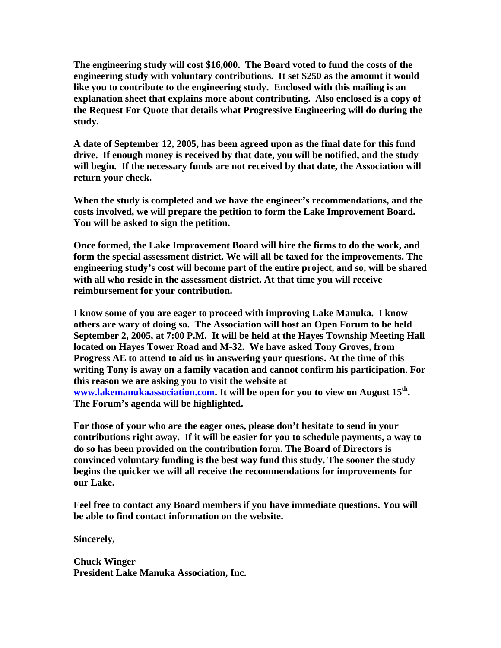**The engineering study will cost \$16,000. The Board voted to fund the costs of the engineering study with voluntary contributions. It set \$250 as the amount it would like you to contribute to the engineering study. Enclosed with this mailing is an explanation sheet that explains more about contributing. Also enclosed is a copy of the Request For Quote that details what Progressive Engineering will do during the study.** 

**A date of September 12, 2005, has been agreed upon as the final date for this fund drive. If enough money is received by that date, you will be notified, and the study will begin. If the necessary funds are not received by that date, the Association will return your check.** 

**When the study is completed and we have the engineer's recommendations, and the costs involved, we will prepare the petition to form the Lake Improvement Board. You will be asked to sign the petition.** 

**Once formed, the Lake Improvement Board will hire the firms to do the work, and form the special assessment district. We will all be taxed for the improvements. The engineering study's cost will become part of the entire project, and so, will be shared with all who reside in the assessment district. At that time you will receive reimbursement for your contribution.** 

**I know some of you are eager to proceed with improving Lake Manuka. I know others are wary of doing so. The Association will host an Open Forum to be held September 2, 2005, at 7:00 P.M. It will be held at the Hayes Township Meeting Hall located on Hayes Tower Road and M-32. We have asked Tony Groves, from Progress AE to attend to aid us in answering your questions. At the time of this writing Tony is away on a family vacation and cannot confirm his participation. For this reason we are asking you to visit the website at [www.lakemanukaassociation.com.](http://www.lakemanukaassociation.com/) It will be open for you to view on August 15th. The Forum's agenda will be highlighted.** 

**For those of your who are the eager ones, please don't hesitate to send in your contributions right away. If it will be easier for you to schedule payments, a way to do so has been provided on the contribution form. The Board of Directors is convinced voluntary funding is the best way fund this study. The sooner the study begins the quicker we will all receive the recommendations for improvements for our Lake.** 

**Feel free to contact any Board members if you have immediate questions. You will be able to find contact information on the website.** 

**Sincerely,** 

**Chuck Winger President Lake Manuka Association, Inc.**